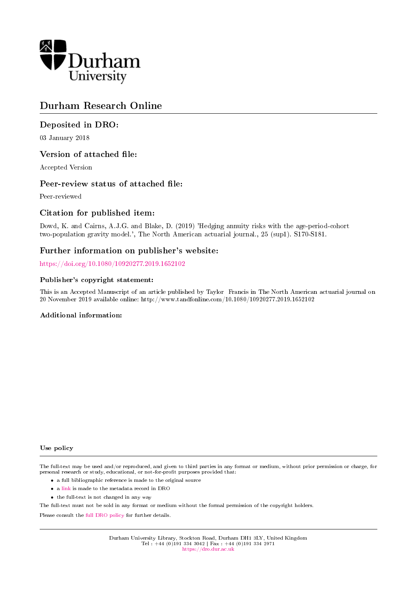

# Durham Research Online

## Deposited in DRO:

03 January 2018

## Version of attached file:

Accepted Version

## Peer-review status of attached file:

Peer-reviewed

## Citation for published item:

Dowd, K. and Cairns, A.J.G. and Blake, D. (2019) 'Hedging annuity risks with the age-period-cohort two-population gravity model.', The North American actuarial journal., 25 (sup1). S170-S181.

## Further information on publisher's website:

<https://doi.org/10.1080/10920277.2019.1652102>

#### Publisher's copyright statement:

This is an Accepted Manuscript of an article published by Taylor Francis in The North American actuarial journal on 20 November 2019 available online: http://www.tandfonline.com/10.1080/10920277.2019.1652102

#### Additional information:

#### Use policy

The full-text may be used and/or reproduced, and given to third parties in any format or medium, without prior permission or charge, for personal research or study, educational, or not-for-profit purposes provided that:

- a full bibliographic reference is made to the original source
- a [link](http://dro.dur.ac.uk/23775/) is made to the metadata record in DRO
- the full-text is not changed in any way

The full-text must not be sold in any format or medium without the formal permission of the copyright holders.

Please consult the [full DRO policy](https://dro.dur.ac.uk/policies/usepolicy.pdf) for further details.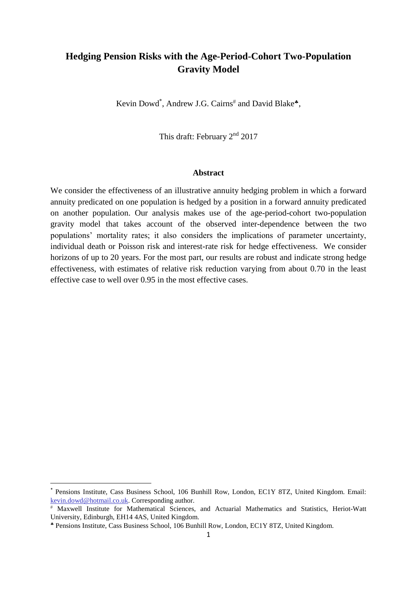# **Hedging Pension Risks with the Age-Period-Cohort Two-Population Gravity Model**

Kevin Dowd<sup>\*</sup>, Andrew J.G. Cairns<sup>#</sup> and David Blake<sup>\*</sup>,

This draft: February 2nd 2017

#### **Abstract**

We consider the effectiveness of an illustrative annuity hedging problem in which a forward annuity predicated on one population is hedged by a position in a forward annuity predicated on another population. Our analysis makes use of the age-period-cohort two-population gravity model that takes account of the observed inter-dependence between the two populations' mortality rates; it also considers the implications of parameter uncertainty, individual death or Poisson risk and interest-rate risk for hedge effectiveness. We consider horizons of up to 20 years. For the most part, our results are robust and indicate strong hedge effectiveness, with estimates of relative risk reduction varying from about 0.70 in the least effective case to well over 0.95 in the most effective cases.

**.** 

Pensions Institute, Cass Business School, 106 Bunhill Row, London, EC1Y 8TZ, United Kingdom. Email: [kevin.dowd@hotmail.co.uk.](mailto:kevind.dowd@hotmail.co.uk) Corresponding author.

Maxwell Institute for Mathematical Sciences, and Actuarial Mathematics and Statistics, Heriot-Watt University, Edinburgh, EH14 4AS, United Kingdom.

Pensions Institute, Cass Business School, 106 Bunhill Row, London, EC1Y 8TZ, United Kingdom.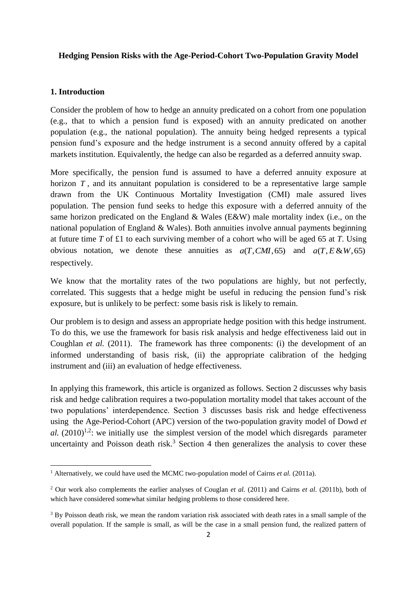#### **Hedging Pension Risks with the Age-Period-Cohort Two-Population Gravity Model**

### **1. Introduction**

**.** 

Consider the problem of how to hedge an annuity predicated on a cohort from one population (e.g., that to which a pension fund is exposed) with an annuity predicated on another population (e.g., the national population). The annuity being hedged represents a typical pension fund's exposure and the hedge instrument is a second annuity offered by a capital markets institution. Equivalently, the hedge can also be regarded as a deferred annuity swap.

More specifically, the pension fund is assumed to have a deferred annuity exposure at horizon  $T$ , and its annuitant population is considered to be a representative large sample drawn from the UK Continuous Mortality Investigation (CMI) male assured lives population. The pension fund seeks to hedge this exposure with a deferred annuity of the same horizon predicated on the England & Wales (E&W) male mortality index (i.e., on the national population of England & Wales). Both annuities involve annual payments beginning at future time *T* of £1 to each surviving member of a cohort who will be aged 65 at *T*. Using obvious notation, we denote these annuities as  $a(T, CMI, 65)$  and  $a(T, E \& W, 65)$ respectively.

We know that the mortality rates of the two populations are highly, but not perfectly, correlated. This suggests that a hedge might be useful in reducing the pension fund's risk exposure, but is unlikely to be perfect: some basis risk is likely to remain.

Our problem is to design and assess an appropriate hedge position with this hedge instrument. To do this, we use the framework for basis risk analysis and hedge effectiveness laid out in Coughlan *et al.* (2011). The framework has three components: (i) the development of an informed understanding of basis risk, (ii) the appropriate calibration of the hedging instrument and (iii) an evaluation of hedge effectiveness.

In applying this framework, this article is organized as follows. Section 2 discusses why basis risk and hedge calibration requires a two-population mortality model that takes account of the two populations' interdependence. Section 3 discusses basis risk and hedge effectiveness using the Age-Period-Cohort (APC) version of the two-population gravity model of Dowd *et*  al.  $(2010)^{1,2}$ : we initially use the simplest version of the model which disregards parameter uncertainty and Poisson death risk.<sup>3</sup> Section 4 then generalizes the analysis to cover these

<sup>&</sup>lt;sup>1</sup> Alternatively, we could have used the MCMC two-population model of Cairns *et al.* (2011a).

<sup>2</sup> Our work also complements the earlier analyses of Couglan *et al.* (2011) and Cairns *et al.* (2011b), both of which have considered somewhat similar hedging problems to those considered here.

<sup>&</sup>lt;sup>3</sup> By Poisson death risk, we mean the random variation risk associated with death rates in a small sample of the overall population. If the sample is small, as will be the case in a small pension fund, the realized pattern of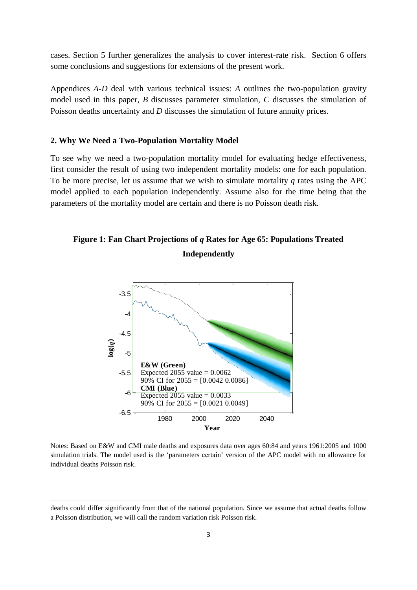cases. Section 5 further generalizes the analysis to cover interest-rate risk. Section 6 offers some conclusions and suggestions for extensions of the present work.

Appendices *A-D* deal with various technical issues: *A* outlines the two-population gravity model used in this paper, *B* discusses parameter simulation, *C* discusses the simulation of Poisson deaths uncertainty and *D* discusses the simulation of future annuity prices.

#### **2. Why We Need a Two-Population Mortality Model**

To see why we need a two-population mortality model for evaluating hedge effectiveness, first consider the result of using two independent mortality models: one for each population. To be more precise, let us assume that we wish to simulate mortality *q* rates using the APC model applied to each population independently. Assume also for the time being that the parameters of the mortality model are certain and there is no Poisson death risk.

# **Figure 1: Fan Chart Projections of** *q* **Rates for Age 65: Populations Treated Independently**



Notes: Based on E&W and CMI male deaths and exposures data over ages 60:84 and years 1961:2005 and 1000 simulation trials. The model used is the 'parameters certain' version of the APC model with no allowance for individual deaths Poisson risk.

1

deaths could differ significantly from that of the national population. Since we assume that actual deaths follow a Poisson distribution, we will call the random variation risk Poisson risk.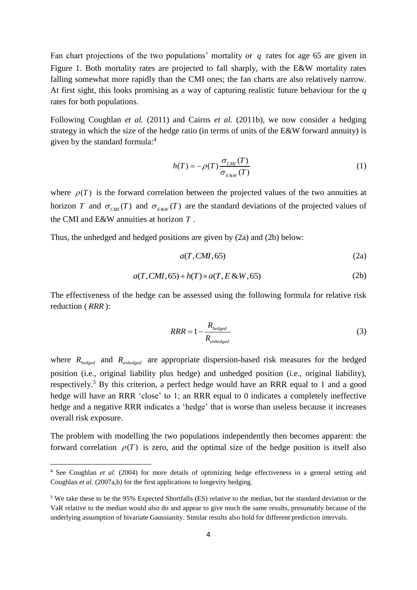Fan chart projections of the two populations' mortality or  $q$  rates for age 65 are given in Figure 1. Both mortality rates are projected to fall sharply, with the E&W mortality rates falling somewhat more rapidly than the CMI ones; the fan charts are also relatively narrow. At first sight, this looks promising as a way of capturing realistic future behaviour for the *q* rates for both populations.

Following Coughlan *et al.* (2011) and Cairns *et al.* (2011b), we now consider a hedging strategy in which the size of the hedge ratio (in terms of units of the E&W forward annuity) is given by the standard formula:<sup>4</sup>

$$
h(T) = -\rho(T) \frac{\sigma_{\text{CMI}}(T)}{\sigma_{\text{E\&W}}(T)} \tag{1}
$$

where  $\rho(T)$  is the forward correlation between the projected values of the two annuities at horizon *T* and  $\sigma_{CMI}(T)$  and  $\sigma_{E\&W}(T)$  are the standard deviations of the projected values of the CMI and E&W annuities at horizon *T* .

Thus, the unhedged and hedged positions are given by (2a) and (2b) below:

$$
a(T, CMI, 65) \tag{2a}
$$

$$
a(T, CMI, 65) + h(T) \times a(T, E \& W, 65)
$$
\n<sup>(2b)</sup>

The effectiveness of the hedge can be assessed using the following formula for relative risk reduction ( *RRR* ):

$$
RRR = 1 - \frac{R_{hedge}}{R_{unhedge}} \tag{3}
$$

where  $R_{\text{hedge}}$  and  $R_{\text{unhedge}}$  are appropriate dispersion-based risk measures for the hedged position (i.e., original liability plus hedge) and unhedged position (i.e., original liability), respectively.<sup>5</sup> By this criterion, a perfect hedge would have an RRR equal to 1 and a good hedge will have an RRR 'close' to 1; an RRR equal to 0 indicates a completely ineffective hedge and a negative RRR indicates a 'hedge' that is worse than useless because it increases overall risk exposure.

The problem with modelling the two populations independently then becomes apparent: the forward correlation  $\rho(T)$  is zero, and the optimal size of the hedge position is itself also

**.** 

<sup>&</sup>lt;sup>4</sup> See Coughlan *et al.* (2004) for more details of optimizing hedge effectiveness in a general setting and Coughlan *et al.* (2007a,b) for the first applications to longevity hedging.

<sup>5</sup> We take these to be the 95% Expected Shortfalls (ES) relative to the median, but the standard deviation or the VaR relative to the median would also do and appear to give much the same results, presumably because of the underlying assumption of bivariate Gaussianity. Similar results also hold for different prediction intervals.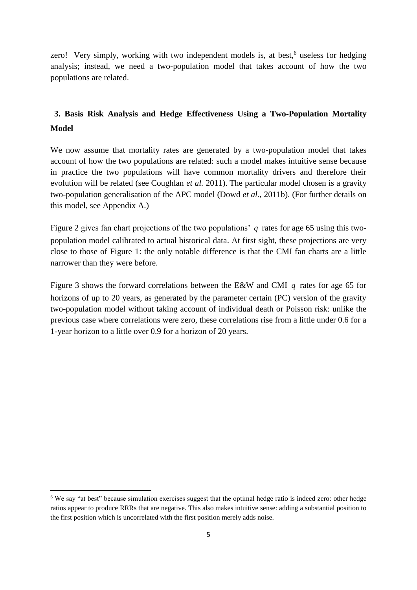zero! Very simply, working with two independent models is, at best,<sup>6</sup> useless for hedging analysis; instead, we need a two-population model that takes account of how the two populations are related.

# **3. Basis Risk Analysis and Hedge Effectiveness Using a Two-Population Mortality Model**

We now assume that mortality rates are generated by a two-population model that takes account of how the two populations are related: such a model makes intuitive sense because in practice the two populations will have common mortality drivers and therefore their evolution will be related (see Coughlan *et al.* 2011). The particular model chosen is a gravity two-population generalisation of the APC model (Dowd *et al.,* 2011b). (For further details on this model, see Appendix A.)

Figure 2 gives fan chart projections of the two populations' *q* rates for age 65 using this twopopulation model calibrated to actual historical data. At first sight, these projections are very close to those of Figure 1: the only notable difference is that the CMI fan charts are a little narrower than they were before.

Figure 3 shows the forward correlations between the E&W and CMI *q* rates for age 65 for horizons of up to 20 years, as generated by the parameter certain (PC) version of the gravity two-population model without taking account of individual death or Poisson risk: unlike the previous case where correlations were zero, these correlations rise from a little under 0.6 for a 1-year horizon to a little over 0.9 for a horizon of 20 years.

1

<sup>6</sup> We say "at best" because simulation exercises suggest that the optimal hedge ratio is indeed zero: other hedge ratios appear to produce RRRs that are negative. This also makes intuitive sense: adding a substantial position to the first position which is uncorrelated with the first position merely adds noise.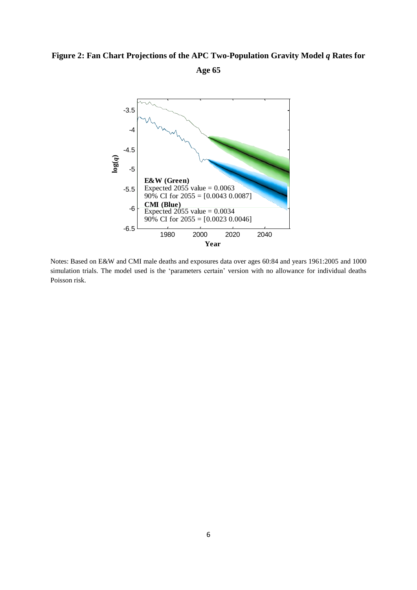## Figure 2: Fan Chart Projections of the APC Two-Population Gravity Model *q* Rates for

**Age 65**



Notes: Based on E&W and CMI male deaths and exposures data over ages 60:84 and years 1961:2005 and 1000 simulation trials. The model used is the 'parameters certain' version with no allowance for individual deaths Poisson risk.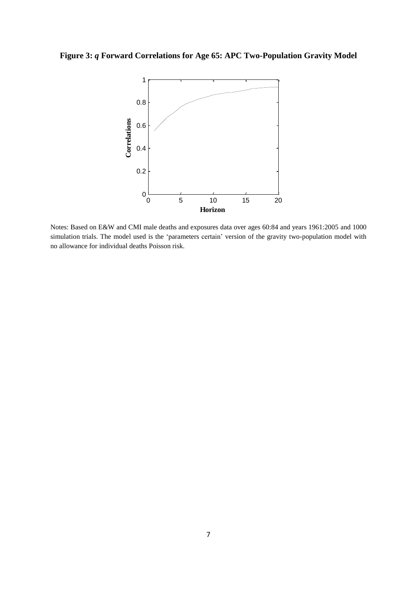**Figure 3:** *q* **Forward Correlations for Age 65: APC Two-Population Gravity Model**



Notes: Based on E&W and CMI male deaths and exposures data over ages 60:84 and years 1961:2005 and 1000 simulation trials. The model used is the 'parameters certain' version of the gravity two-population model with no allowance for individual deaths Poisson risk.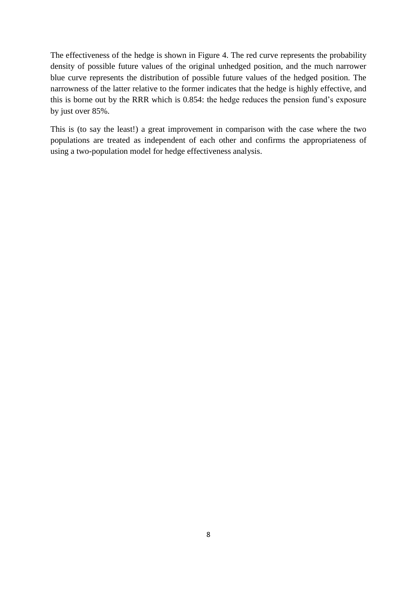The effectiveness of the hedge is shown in Figure 4. The red curve represents the probability density of possible future values of the original unhedged position, and the much narrower blue curve represents the distribution of possible future values of the hedged position. The narrowness of the latter relative to the former indicates that the hedge is highly effective, and this is borne out by the RRR which is 0.854: the hedge reduces the pension fund's exposure by just over 85%.

This is (to say the least!) a great improvement in comparison with the case where the two populations are treated as independent of each other and confirms the appropriateness of using a two-population model for hedge effectiveness analysis.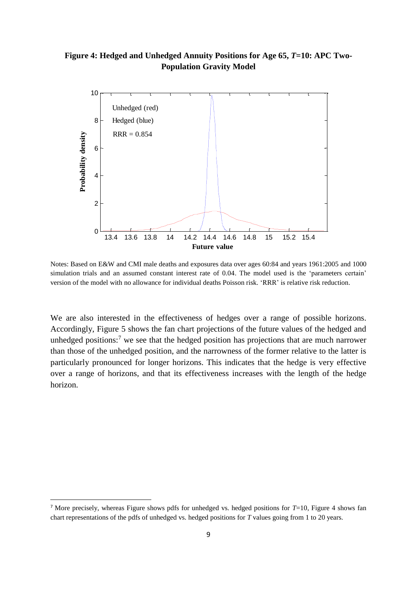## **Figure 4: Hedged and Unhedged Annuity Positions for Age 65,** *T***=10: APC Two-Population Gravity Model**



Notes: Based on E&W and CMI male deaths and exposures data over ages 60:84 and years 1961:2005 and 1000 simulation trials and an assumed constant interest rate of 0.04. The model used is the 'parameters certain' version of the model with no allowance for individual deaths Poisson risk. 'RRR' is relative risk reduction.

We are also interested in the effectiveness of hedges over a range of possible horizons. Accordingly, Figure 5 shows the fan chart projections of the future values of the hedged and unhedged positions:<sup>7</sup> we see that the hedged position has projections that are much narrower than those of the unhedged position, and the narrowness of the former relative to the latter is particularly pronounced for longer horizons. This indicates that the hedge is very effective over a range of horizons, and that its effectiveness increases with the length of the hedge horizon.

1

<sup>7</sup> More precisely, whereas Figure shows pdfs for unhedged vs. hedged positions for *T*=10, Figure 4 shows fan chart representations of the pdfs of unhedged vs. hedged positions for *T* values going from 1 to 20 years.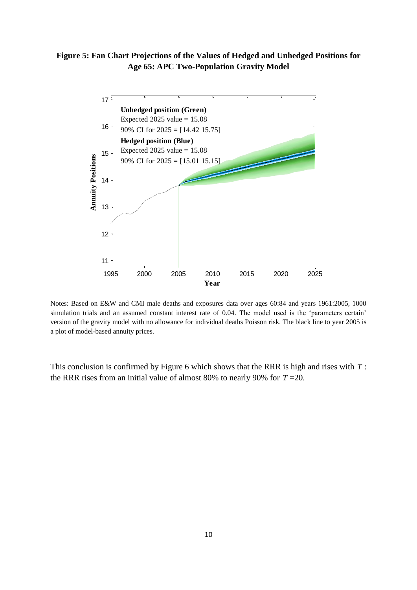**Figure 5: Fan Chart Projections of the Values of Hedged and Unhedged Positions for Age 65: APC Two-Population Gravity Model**



Notes: Based on E&W and CMI male deaths and exposures data over ages 60:84 and years 1961:2005, 1000 simulation trials and an assumed constant interest rate of 0.04. The model used is the 'parameters certain' version of the gravity model with no allowance for individual deaths Poisson risk. The black line to year 2005 is a plot of model-based annuity prices.

This conclusion is confirmed by Figure 6 which shows that the RRR is high and rises with *T* : the RRR rises from an initial value of almost 80% to nearly 90% for  $T = 20$ .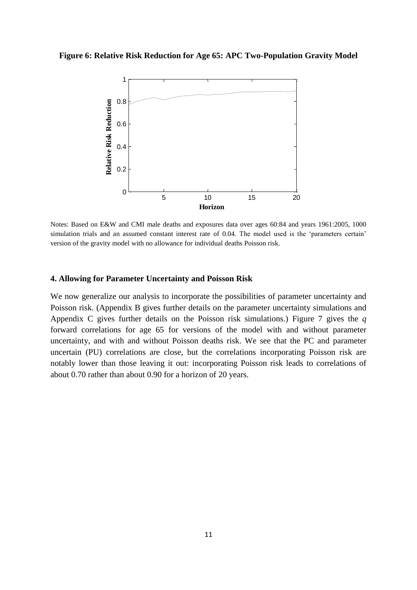#### **Figure 6: Relative Risk Reduction for Age 65: APC Two-Population Gravity Model**



Notes: Based on E&W and CMI male deaths and exposures data over ages 60:84 and years 1961:2005, 1000 simulation trials and an assumed constant interest rate of 0.04. The model used is the 'parameters certain' version of the gravity model with no allowance for individual deaths Poisson risk.

#### **4. Allowing for Parameter Uncertainty and Poisson Risk**

We now generalize our analysis to incorporate the possibilities of parameter uncertainty and Poisson risk. (Appendix B gives further details on the parameter uncertainty simulations and Appendix C gives further details on the Poisson risk simulations.) Figure 7 gives the *q* forward correlations for age 65 for versions of the model with and without parameter uncertainty, and with and without Poisson deaths risk. We see that the PC and parameter uncertain (PU) correlations are close, but the correlations incorporating Poisson risk are notably lower than those leaving it out: incorporating Poisson risk leads to correlations of about 0.70 rather than about 0.90 for a horizon of 20 years.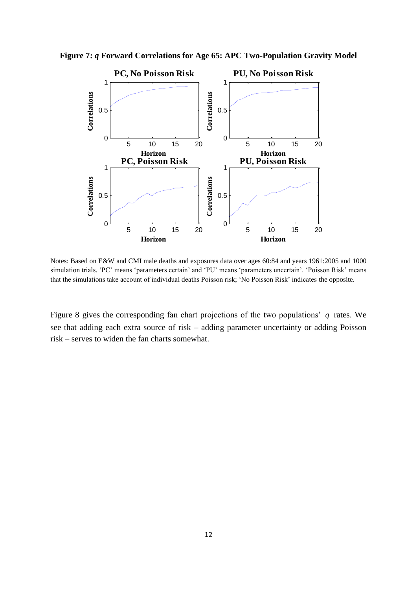

**Figure 7:** *q* **Forward Correlations for Age 65: APC Two-Population Gravity Model**

Notes: Based on E&W and CMI male deaths and exposures data over ages 60:84 and years 1961:2005 and 1000 simulation trials. 'PC' means 'parameters certain' and 'PU' means 'parameters uncertain'. 'Poisson Risk' means that the simulations take account of individual deaths Poisson risk; 'No Poisson Risk' indicates the opposite.

Figure 8 gives the corresponding fan chart projections of the two populations' *q* rates. We see that adding each extra source of risk – adding parameter uncertainty or adding Poisson risk – serves to widen the fan charts somewhat.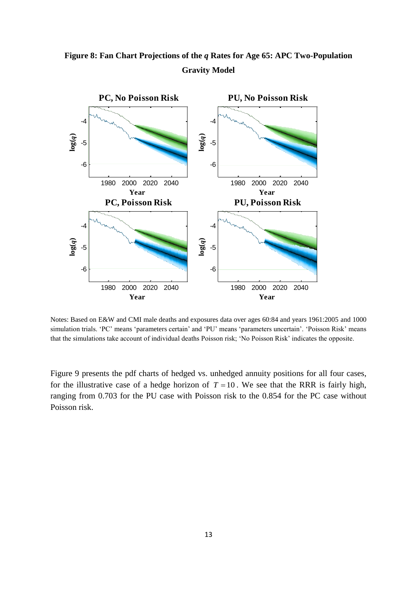



Notes: Based on E&W and CMI male deaths and exposures data over ages 60:84 and years 1961:2005 and 1000 simulation trials. 'PC' means 'parameters certain' and 'PU' means 'parameters uncertain'. 'Poisson Risk' means that the simulations take account of individual deaths Poisson risk; 'No Poisson Risk' indicates the opposite.

Figure 9 presents the pdf charts of hedged vs. unhedged annuity positions for all four cases, for the illustrative case of a hedge horizon of  $T = 10$ . We see that the RRR is fairly high, ranging from 0.703 for the PU case with Poisson risk to the 0.854 for the PC case without Poisson risk.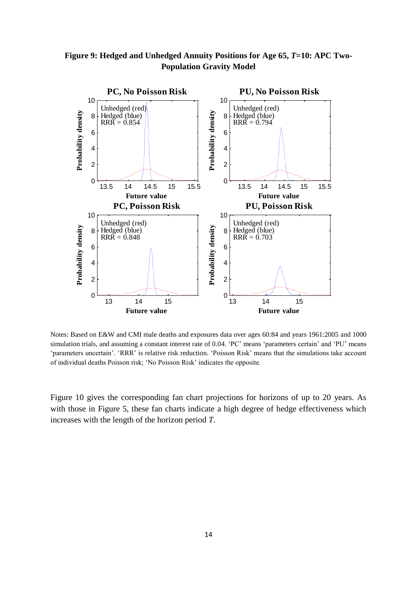**Figure 9: Hedged and Unhedged Annuity Positions for Age 65,** *T***=10: APC Two-Population Gravity Model**



Notes: Based on E&W and CMI male deaths and exposures data over ages 60:84 and years 1961:2005 and 1000 simulation trials, and assuming a constant interest rate of 0.04. 'PC' means 'parameters certain' and 'PU' means 'parameters uncertain'. 'RRR' is relative risk reduction. 'Poisson Risk' means that the simulations take account of individual deaths Poisson risk; 'No Poisson Risk' indicates the opposite.

Figure 10 gives the corresponding fan chart projections for horizons of up to 20 years. As with those in Figure 5, these fan charts indicate a high degree of hedge effectiveness which increases with the length of the horizon period *T*.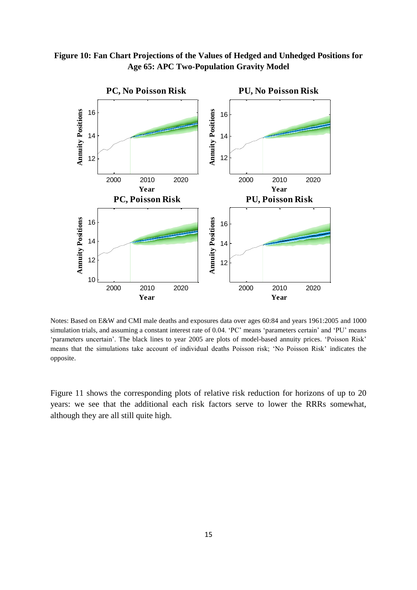



Notes: Based on E&W and CMI male deaths and exposures data over ages 60:84 and years 1961:2005 and 1000 simulation trials, and assuming a constant interest rate of 0.04. 'PC' means 'parameters certain' and 'PU' means 'parameters uncertain'. The black lines to year 2005 are plots of model-based annuity prices. 'Poisson Risk' means that the simulations take account of individual deaths Poisson risk; 'No Poisson Risk' indicates the opposite.

Figure 11 shows the corresponding plots of relative risk reduction for horizons of up to 20 years: we see that the additional each risk factors serve to lower the RRRs somewhat, although they are all still quite high.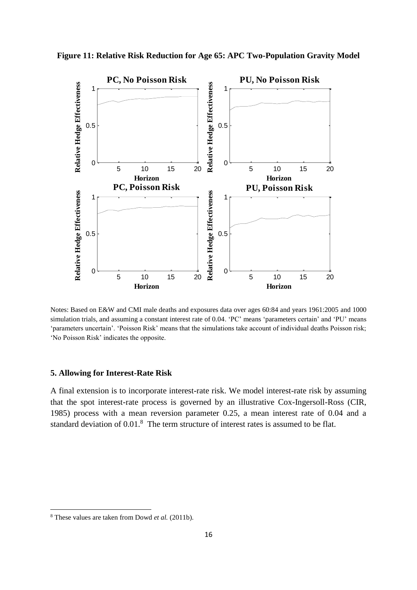

**Figure 11: Relative Risk Reduction for Age 65: APC Two-Population Gravity Model**

Notes: Based on E&W and CMI male deaths and exposures data over ages 60:84 and years 1961:2005 and 1000 simulation trials, and assuming a constant interest rate of 0.04. 'PC' means 'parameters certain' and 'PU' means 'parameters uncertain'. 'Poisson Risk' means that the simulations take account of individual deaths Poisson risk; 'No Poisson Risk' indicates the opposite.

#### **5. Allowing for Interest-Rate Risk**

A final extension is to incorporate interest-rate risk. We model interest-rate risk by assuming that the spot interest-rate process is governed by an illustrative Cox-Ingersoll-Ross (CIR, 1985) process with a mean reversion parameter 0.25, a mean interest rate of 0.04 and a standard deviation of 0.01.<sup>8</sup> The term structure of interest rates is assumed to be flat.

 $\overline{\phantom{a}}$ 

<sup>8</sup> These values are taken from Dowd *et al.* (2011b).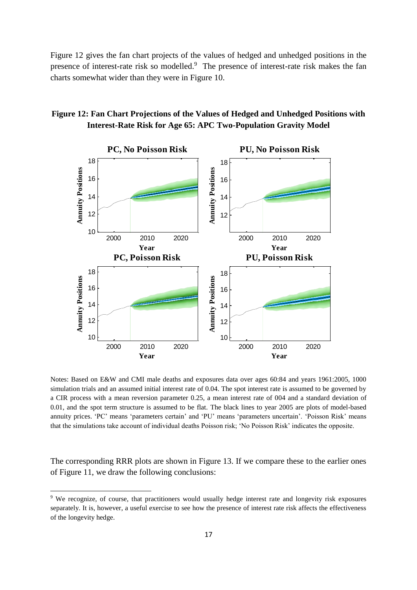Figure 12 gives the fan chart projects of the values of hedged and unhedged positions in the presence of interest-rate risk so modelled.<sup>9</sup> The presence of interest-rate risk makes the fan charts somewhat wider than they were in Figure 10.





Notes: Based on E&W and CMI male deaths and exposures data over ages 60:84 and years 1961:2005, 1000 simulation trials and an assumed initial interest rate of 0.04. The spot interest rate is assumed to be governed by a CIR process with a mean reversion parameter 0.25, a mean interest rate of 004 and a standard deviation of 0.01, and the spot term structure is assumed to be flat. The black lines to year 2005 are plots of model-based annuity prices. 'PC' means 'parameters certain' and 'PU' means 'parameters uncertain'. 'Poisson Risk' means that the simulations take account of individual deaths Poisson risk; 'No Poisson Risk' indicates the opposite.

The corresponding RRR plots are shown in Figure 13. If we compare these to the earlier ones of Figure 11, we draw the following conclusions:

**.** 

<sup>&</sup>lt;sup>9</sup> We recognize, of course, that practitioners would usually hedge interest rate and longevity risk exposures separately. It is, however, a useful exercise to see how the presence of interest rate risk affects the effectiveness of the longevity hedge.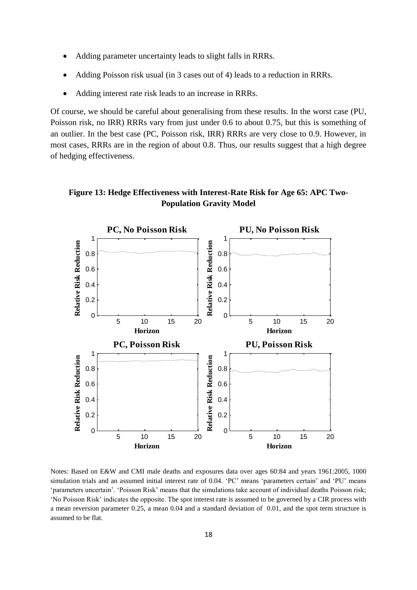- Adding parameter uncertainty leads to slight falls in RRRs.
- Adding Poisson risk usual (in 3 cases out of 4) leads to a reduction in RRRs.
- Adding interest rate risk leads to an increase in RRRs.

Of course, we should be careful about generalising from these results. In the worst case (PU, Poisson risk, no IRR) RRRs vary from just under 0.6 to about 0.75, but this is something of an outlier. In the best case (PC, Poisson risk, IRR) RRRs are very close to 0.9. However, in most cases, RRRs are in the region of about 0.8. Thus, our results suggest that a high degree of hedging effectiveness.





Notes: Based on E&W and CMI male deaths and exposures data over ages 60:84 and years 1961:2005, 1000 simulation trials and an assumed initial interest rate of 0.04. 'PC' means 'parameters certain' and 'PU' means 'parameters uncertain'. 'Poisson Risk' means that the simulations take account of individual deaths Poisson risk; 'No Poisson Risk' indicates the opposite. The spot interest rate is assumed to be governed by a CIR process with a mean reversion parameter 0.25, a mean 0.04 and a standard deviation of 0.01, and the spot term structure is assumed to be flat.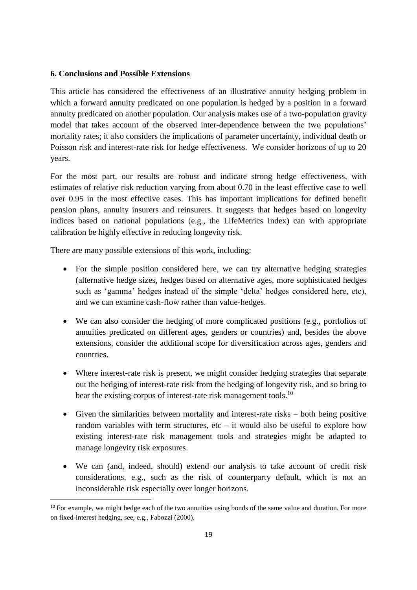### **6. Conclusions and Possible Extensions**

This article has considered the effectiveness of an illustrative annuity hedging problem in which a forward annuity predicated on one population is hedged by a position in a forward annuity predicated on another population. Our analysis makes use of a two-population gravity model that takes account of the observed inter-dependence between the two populations' mortality rates; it also considers the implications of parameter uncertainty, individual death or Poisson risk and interest-rate risk for hedge effectiveness. We consider horizons of up to 20 years.

For the most part, our results are robust and indicate strong hedge effectiveness, with estimates of relative risk reduction varying from about 0.70 in the least effective case to well over 0.95 in the most effective cases. This has important implications for defined benefit pension plans, annuity insurers and reinsurers. It suggests that hedges based on longevity indices based on national populations (e.g., the LifeMetrics Index) can with appropriate calibration be highly effective in reducing longevity risk.

There are many possible extensions of this work, including:

1

- For the simple position considered here, we can try alternative hedging strategies (alternative hedge sizes, hedges based on alternative ages, more sophisticated hedges such as 'gamma' hedges instead of the simple 'delta' hedges considered here, etc), and we can examine cash-flow rather than value-hedges.
- We can also consider the hedging of more complicated positions (e.g., portfolios of annuities predicated on different ages, genders or countries) and, besides the above extensions, consider the additional scope for diversification across ages, genders and countries.
- Where interest-rate risk is present, we might consider hedging strategies that separate out the hedging of interest-rate risk from the hedging of longevity risk, and so bring to bear the existing corpus of interest-rate risk management tools.<sup>10</sup>
- Given the similarities between mortality and interest-rate risks both being positive random variables with term structures, etc  $-$  it would also be useful to explore how existing interest-rate risk management tools and strategies might be adapted to manage longevity risk exposures.
- We can (and, indeed, should) extend our analysis to take account of credit risk considerations, e.g., such as the risk of counterparty default, which is not an inconsiderable risk especially over longer horizons.

<sup>&</sup>lt;sup>10</sup> For example, we might hedge each of the two annuities using bonds of the same value and duration. For more on fixed-interest hedging, see, e.g., Fabozzi (2000).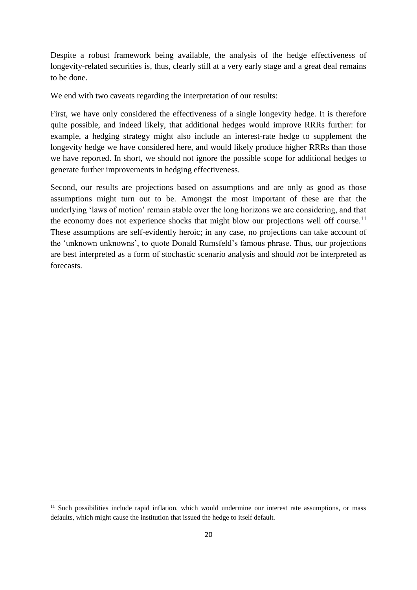Despite a robust framework being available, the analysis of the hedge effectiveness of longevity-related securities is, thus, clearly still at a very early stage and a great deal remains to be done.

We end with two caveats regarding the interpretation of our results:

First, we have only considered the effectiveness of a single longevity hedge. It is therefore quite possible, and indeed likely, that additional hedges would improve RRRs further: for example, a hedging strategy might also include an interest-rate hedge to supplement the longevity hedge we have considered here, and would likely produce higher RRRs than those we have reported. In short, we should not ignore the possible scope for additional hedges to generate further improvements in hedging effectiveness.

Second, our results are projections based on assumptions and are only as good as those assumptions might turn out to be. Amongst the most important of these are that the underlying 'laws of motion' remain stable over the long horizons we are considering, and that the economy does not experience shocks that might blow our projections well off course.<sup>11</sup> These assumptions are self-evidently heroic; in any case, no projections can take account of the 'unknown unknowns', to quote Donald Rumsfeld's famous phrase. Thus, our projections are best interpreted as a form of stochastic scenario analysis and should *not* be interpreted as forecasts.

1

<sup>&</sup>lt;sup>11</sup> Such possibilities include rapid inflation, which would undermine our interest rate assumptions, or mass defaults, which might cause the institution that issued the hedge to itself default.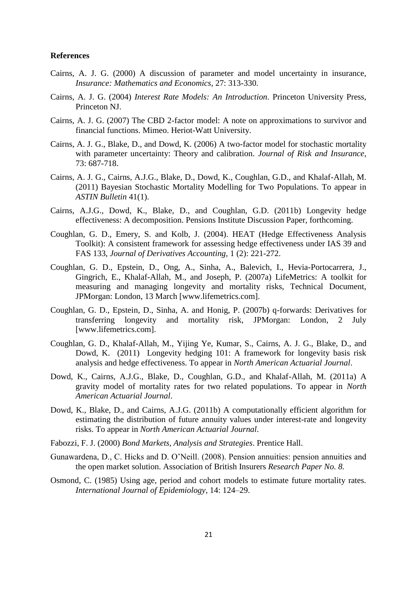#### **References**

- Cairns, A. J. G. (2000) A discussion of parameter and model uncertainty in insurance, *Insurance: Mathematics and Economics*, 27: 313-330.
- Cairns, A. J. G. (2004) *Interest Rate Models: An Introduction*. Princeton University Press, Princeton NJ.
- Cairns, A. J. G. (2007) The CBD 2-factor model: A note on approximations to survivor and financial functions. Mimeo. Heriot-Watt University.
- Cairns, A. J. G., Blake, D., and Dowd, K. (2006) A two-factor model for stochastic mortality with parameter uncertainty: Theory and calibration. *Journal of Risk and Insurance*, 73: 687-718.
- Cairns, A. J. G., Cairns, A.J.G., Blake, D., Dowd, K., Coughlan, G.D., and Khalaf-Allah, M. (2011) Bayesian Stochastic Mortality Modelling for Two Populations. To appear in *ASTIN Bulletin* 41(1).
- Cairns, A.J.G., Dowd, K., Blake, D., and Coughlan, G.D. (2011b) Longevity hedge effectiveness: A decomposition. Pensions Institute Discussion Paper, forthcoming.
- Coughlan, G. D., Emery, S. and Kolb, J. (2004). HEAT (Hedge Effectiveness Analysis Toolkit): A consistent framework for assessing hedge effectiveness under IAS 39 and FAS 133, *Journal of Derivatives Accounting,* 1 (2): 221-272.
- Coughlan, G. D., Epstein, D., Ong, A., Sinha, A., Balevich, I., Hevia-Portocarrera, J., Gingrich, E., Khalaf-Allah, M., and Joseph, P. (2007a) LifeMetrics: A toolkit for measuring and managing longevity and mortality risks, Technical Document, JPMorgan: London, 13 March [www.lifemetrics.com].
- Coughlan, G. D., Epstein, D., Sinha, A. and Honig, P. (2007b) q-forwards: Derivatives for transferring longevity and mortality risk, JPMorgan: London, 2 July [www.lifemetrics.com].
- Coughlan, G. D., Khalaf-Allah, M., Yijing Ye, Kumar, S., Cairns, A. J. G., Blake, D., and Dowd, K. (2011) Longevity hedging 101: A framework for longevity basis risk analysis and hedge effectiveness. To appear in *North American Actuarial Journal*.
- Dowd, K., Cairns, A.J.G., Blake, D., Coughlan, G.D., and Khalaf-Allah, M. (2011a) A gravity model of mortality rates for two related populations. To appear in *North American Actuarial Journal*.
- Dowd, K., Blake, D., and Cairns, A.J.G. (2011b) A computationally efficient algorithm for estimating the distribution of future annuity values under interest-rate and longevity risks. To appear in *North American Actuarial Journal*.
- Fabozzi, F. J. (2000) *Bond Markets, Analysis and Strategies*. Prentice Hall.
- Gunawardena, D., C. Hicks and D. O'Neill. (2008). Pension annuities: pension annuities and the open market solution. Association of British Insurers *Research Paper No. 8.*
- Osmond, C. (1985) Using age, period and cohort models to estimate future mortality rates. *International Journal of Epidemiology*, 14: 124–29.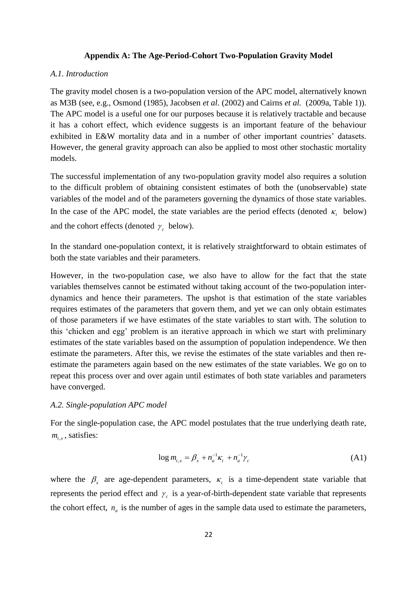#### **Appendix A: The Age-Period-Cohort Two-Population Gravity Model**

#### *A.1. Introduction*

The gravity model chosen is a two-population version of the APC model, alternatively known as M3B (see, e.g., Osmond (1985), Jacobsen *et al.* (2002) and Cairns *et al.* (2009a, Table 1)). The APC model is a useful one for our purposes because it is relatively tractable and because it has a cohort effect, which evidence suggests is an important feature of the behaviour exhibited in E&W mortality data and in a number of other important countries' datasets. However, the general gravity approach can also be applied to most other stochastic mortality models.

The successful implementation of any two-population gravity model also requires a solution to the difficult problem of obtaining consistent estimates of both the (unobservable) state variables of the model and of the parameters governing the dynamics of those state variables. In the case of the APC model, the state variables are the period effects (denoted  $\kappa$ , below) and the cohort effects (denoted  $\gamma_c$  below).

In the standard one-population context, it is relatively straightforward to obtain estimates of both the state variables and their parameters.

However, in the two-population case, we also have to allow for the fact that the state variables themselves cannot be estimated without taking account of the two-population interdynamics and hence their parameters. The upshot is that estimation of the state variables requires estimates of the parameters that govern them, and yet we can only obtain estimates of those parameters if we have estimates of the state variables to start with. The solution to this 'chicken and egg' problem is an iterative approach in which we start with preliminary estimates of the state variables based on the assumption of population independence. We then estimate the parameters. After this, we revise the estimates of the state variables and then reestimate the parameters again based on the new estimates of the state variables. We go on to repeat this process over and over again until estimates of both state variables and parameters have converged.

### *A.2. Single-population APC model*

For the single-population case, the APC model postulates that the true underlying death rate,  $m$ <sub>t,x</sub>, satisfies:

$$
\log m_{t,x} = \beta_x + n_a^{-1} \kappa_t + n_a^{-1} \gamma_c \tag{A1}
$$

where the  $\beta_x$  are age-dependent parameters,  $\kappa_t$  is a time-dependent state variable that represents the period effect and  $\gamma_c$  is a year-of-birth-dependent state variable that represents the cohort effect,  $n_a$  is the number of ages in the sample data used to estimate the parameters,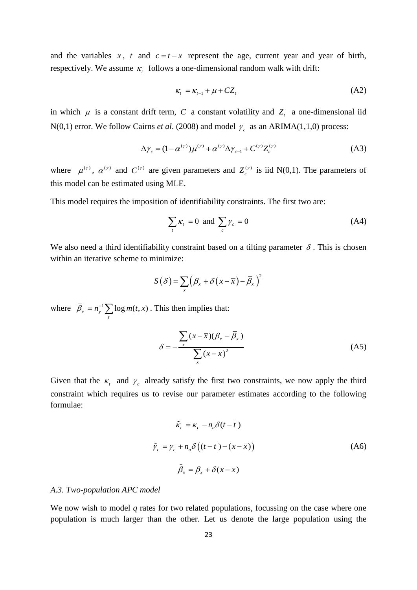and the variables  $x$ ,  $t$  and  $c = t - x$  represent the age, current year and year of birth, respectively. We assume  $\kappa$  follows a one-dimensional random walk with drift:

$$
\kappa_t = \kappa_{t-1} + \mu + CZ_t \tag{A2}
$$

in which  $\mu$  is a constant drift term, C a constant volatility and  $Z<sub>t</sub>$  a one-dimensional iid N(0,1) error. We follow Cairns *et al.* (2008) and model  $\gamma_c$  as an ARIMA(1,1,0) process:

$$
\Delta \gamma_c = (1 - \alpha^{(\gamma)}) \mu^{(\gamma)} + \alpha^{(\gamma)} \Delta \gamma_{c-1} + C^{(\gamma)} Z_c^{(\gamma)}
$$
(A3)

where  $\mu^{(\gamma)}$ ,  $\alpha^{(\gamma)}$  and  $C^{(\gamma)}$  are given parameters and  $Z_c^{(\gamma)}$  is iid N(0,1). The parameters of this model can be estimated using MLE.

This model requires the imposition of identifiability constraints. The first two are:

$$
\sum_{t} \kappa_{t} = 0 \text{ and } \sum_{c} \gamma_{c} = 0 \tag{A4}
$$

We also need a third identifiability constraint based on a tilting parameter  $\delta$ . This is chosen within an iterative scheme to minimize:

$$
S(\delta) = \sum_{x} (\beta_x + \delta (x - \overline{x}) - \overline{\beta}_x)^2
$$

where  $\overline{\beta}_x = n_y^{-1} \sum_t \log m(t, x)$  $\overline{\beta}_x = n_y^{-1} \sum \log m(t, x)$ . This then implies that:

$$
\delta = -\frac{\sum_{x} (x - \overline{x})(\beta_x - \overline{\beta}_x)}{\sum_{x} (x - \overline{x})^2}
$$
 (A5)

Given that the  $\kappa$ <sub>t</sub> and  $\gamma$ <sub>c</sub> already satisfy the first two constraints, we now apply the third constraint which requires us to revise our parameter estimates according to the following formulae:

$$
\tilde{\kappa}_t = \kappa_t - n_a \delta(t - \overline{t})
$$
\n
$$
\tilde{\gamma}_c = \gamma_c + n_a \delta((t - \overline{t}) - (x - \overline{x}))
$$
\n
$$
\tilde{\beta}_x = \beta_x + \delta(x - \overline{x})
$$
\n(A6)

#### *A.3. Two-population APC model*

We now wish to model *q* rates for two related populations, focussing on the case where one population is much larger than the other. Let us denote the large population using the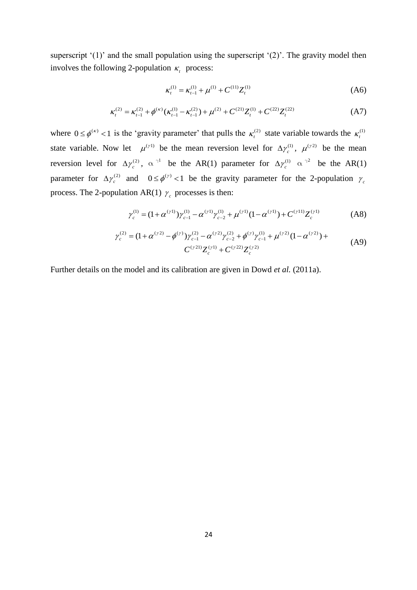superscript '(1)' and the small population using the superscript '(2)'. The gravity model then involves the following 2-population  $\kappa$ <sub>*t*</sub> process:

$$
\kappa_t^{(1)} = \kappa_{t-1}^{(1)} + \mu^{(1)} + C^{(11)} Z_t^{(1)}
$$
 (A6)

$$
\kappa_t^{(2)} = \kappa_{t-1}^{(2)} + \mu^{(3)} + C^{(2)} Z_t^{(1)}
$$
\n
$$
\kappa_t^{(2)} = \kappa_{t-1}^{(2)} + \phi^{(\kappa)}(\kappa_{t-1}^{(1)} - \kappa_{t-1}^{(2)}) + \mu^{(2)} + C^{(21)} Z_t^{(1)} + C^{(22)} Z_t^{(22)}
$$
\n(A7)

where  $0 \le \phi^{(k)} < 1$  is the 'gravity parameter' that pulls the  $\kappa_t^{(2)}$  state variable towards the  $\kappa_t^{(1)}$ state variable. Now let  $\mu^{(\gamma)}$  be the mean reversion level for  $\Delta \gamma_c^{(1)}$  $\Delta \gamma_c^{(1)}$ ,  $\mu^{(\gamma 2)}$  be the mean reversion level for  $\Delta \gamma_c^{(2)}$  $\Delta \gamma_c^{(2)}$ ,  $\alpha^{1}$  be the AR(1) parameter for  $\Delta \gamma_c^{(1)}$  $\Delta \gamma_c^{(1)}$   $\alpha^{(2)}$  be the AR(1) parameter for  $\Delta \gamma_c^{(2)}$  $\Delta \gamma_c^{(2)}$  and  $0 \le \phi^{(\gamma)} < 1$  be the gravity parameter for the 2-population  $\gamma_c$ 

process. The 2-population AR(1) 
$$
\gamma_c
$$
 processes is then:  
\n
$$
\gamma_c^{(1)} = (1 + \alpha^{(\gamma 1)}) \gamma_{c-1}^{(1)} - \alpha^{(\gamma 1)} \gamma_{c-2}^{(1)} + \mu^{(\gamma 1)} (1 - \alpha^{(\gamma 1)}) + C^{(\gamma 1 1)} Z_c^{(\gamma 1)}
$$
\n(A8)

$$
\gamma_c^{(1)} = (1 + \alpha^{(\gamma 1)}) \gamma_{c-1}^{(1)} - \alpha^{(\gamma 1)} \gamma_{c-2}^{(1)} + \mu^{(\gamma 1)} (1 - \alpha^{(\gamma 1)}) + C^{(\gamma 1 1)} Z_c^{(\gamma 1)}
$$
(A8)  

$$
\gamma_c^{(2)} = (1 + \alpha^{(\gamma 2)} - \phi^{(\gamma)}) \gamma_{c-1}^{(2)} - \alpha^{(\gamma 2)} \gamma_{c-2}^{(2)} + \phi^{(\gamma)} \gamma_{c-1}^{(1)} + \mu^{(\gamma 2)} (1 - \alpha^{(\gamma 2)}) + C^{(\gamma 2 1)} Z_c^{(\gamma 1)} + C^{(\gamma 2 2)} Z_c^{(\gamma 2)}
$$
(A9)

Further details on the model and its calibration are given in Dowd *et al.* (2011a).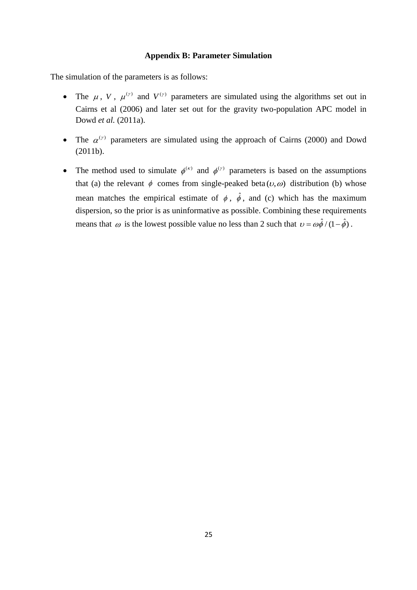### **Appendix B: Parameter Simulation**

The simulation of the parameters is as follows:

- The  $\mu$ , V,  $\mu^{(\gamma)}$  and  $V^{(\gamma)}$  parameters are simulated using the algorithms set out in Cairns et al (2006) and later set out for the gravity two-population APC model in Dowd *et al.* (2011a).
- The  $\alpha^{(r)}$  parameters are simulated using the approach of Cairns (2000) and Dowd (2011b).
- The method used to simulate  $\phi^{(k)}$  and  $\phi^{(r)}$  parameters is based on the assumptions that (a) the relevant  $\phi$  comes from single-peaked beta  $(\nu, \omega)$  distribution (b) whose mean matches the empirical estimate of  $\phi$ ,  $\hat{\phi}$ , and (c) which has the maximum dispersion, so the prior is as uninformative as possible. Combining these requirements means that  $\omega$  is the lowest possible value no less than 2 such that  $\nu = \omega \hat{\phi} / (1 - \hat{\phi})$ .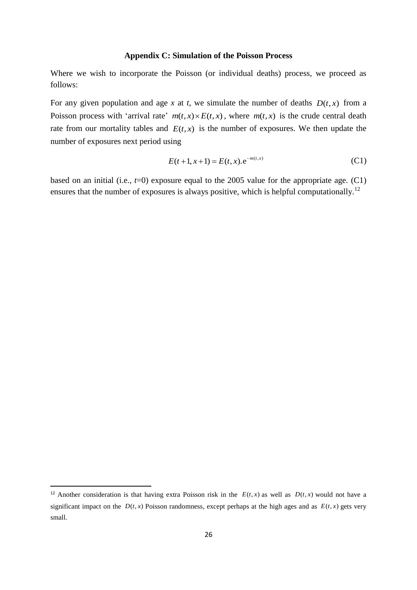#### **Appendix C: Simulation of the Poisson Process**

Where we wish to incorporate the Poisson (or individual deaths) process, we proceed as follows:

For any given population and age  $x$  at  $t$ , we simulate the number of deaths  $D(t, x)$  from a Poisson process with 'arrival rate'  $m(t, x) \times E(t, x)$ , where  $m(t, x)$  is the crude central death rate from our mortality tables and  $E(t, x)$  is the number of exposures. We then update the number of exposures next period using

$$
E(t+1, x+1) = E(t, x). e^{-m(t, x)}
$$
\n(C1)

based on an initial (i.e.,  $t=0$ ) exposure equal to the 2005 value for the appropriate age. (C1) ensures that the number of exposures is always positive, which is helpful computationally.<sup>12</sup>

 $\overline{\phantom{a}}$ 

<sup>&</sup>lt;sup>12</sup> Another consideration is that having extra Poisson risk in the  $E(t, x)$  as well as  $D(t, x)$  would not have a significant impact on the  $D(t, x)$  Poisson randomness, except perhaps at the high ages and as  $E(t, x)$  gets very small.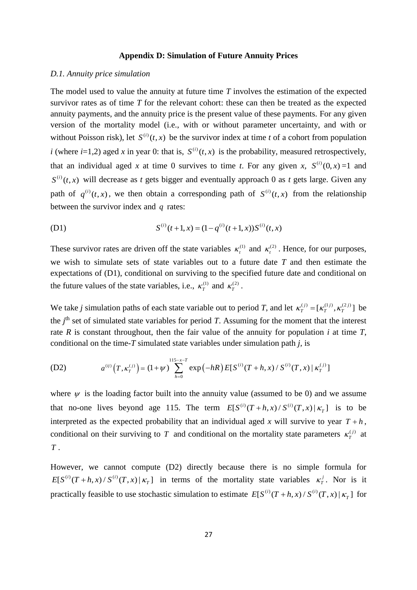#### **Appendix D: Simulation of Future Annuity Prices**

#### *D.1. Annuity price simulation*

The model used to value the annuity at future time *T* involves the estimation of the expected survivor rates as of time *T* for the relevant cohort: these can then be treated as the expected annuity payments, and the annuity price is the present value of these payments. For any given version of the mortality model (i.e., with or without parameter uncertainty, and with or without Poisson risk), let  $S^{(i)}(t, x)$  be the survivor index at time *t* of a cohort from population *i* (where *i*=1,2) aged *x* in year 0: that is,  $S^{(i)}(t, x)$  is the probability, measured retrospectively, that an individual aged x at time 0 survives to time t. For any given x,  $S^{(i)}(0, x) = 1$  and  $S^{(i)}(t, x)$  will decrease as *t* gets bigger and eventually approach 0 as *t* gets large. Given any path of  $q^{(i)}(t, x)$ , we then obtain a corresponding path of  $S^{(i)}(t, x)$  from the relationship between the survivor index and *q* rates:

(D1) 
$$
S^{(i)}(t+1,x) = (1-q^{(i)}(t+1,x))S^{(i)}(t,x)
$$

These survivor rates are driven off the state variables  $\kappa_t^{(1)}$  and  $\kappa_t^{(2)}$ . Hence, for our purposes, we wish to simulate sets of state variables out to a future date *T* and then estimate the expectations of (D1), conditional on surviving to the specified future date and conditional on the future values of the state variables, i.e.,  $\kappa_T^{(1)}$  and  $\kappa_T^{(2)}$ .

We take *j* simulation paths of each state variable out to period *T*, and let  $\kappa_T^{(j)} = [\kappa_T^{(1j)}, \kappa_T^{(2j)}]$  be the  $j<sup>th</sup>$  set of simulated state variables for period *T*. Assuming for the moment that the interest rate  $R$  is constant throughout, then the fair value of the annuity for population  $i$  at time  $T$ , conditional on the time-*T* simulated state variables under simulation path *j,* is

(D2) 
$$
a^{(ij)}(T, \kappa_T^{(j)}) = (1 + \psi) \sum_{h=0}^{115 - x - T} \exp(-hR) E[S^{(i)}(T + h, x) / S^{(i)}(T, x) | \kappa_T^{(j)}]
$$

where  $\psi$  is the loading factor built into the annuity value (assumed to be 0) and we assume that no-one lives beyond age 115. The term  $E[S^{(i)}(T+h,x)/S^{(i)}(T,x)|\kappa_T]$  is to be interpreted as the expected probability that an individual aged x will survive to year  $T + h$ , conditional on their surviving to T and conditional on the mortality state parameters  $\kappa_T^{(j)}$  at *T* .

However, we cannot compute (D2) directly because there is no simple formula for  $E[S^{(i)}(T+h,x)/S^{(i)}(T,x)|\kappa_T]$  in terms of the mortality state variables  $\kappa_T^j$ . Nor is it practically feasible to use stochastic simulation to estimate  $E[S^{(i)}(T+h,x)/S^{(i)}(T,x)|\kappa_T]$  for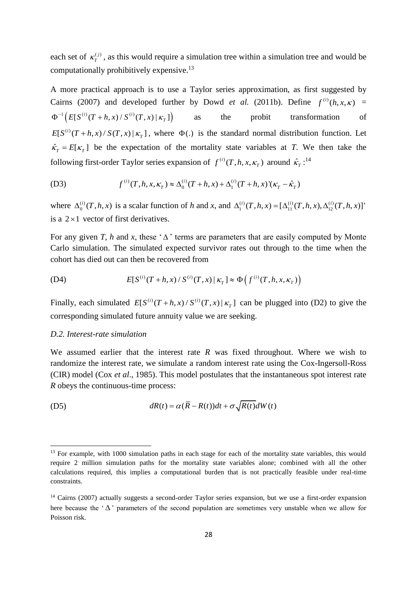each set of  $\kappa_T^{(j)}$ , as this would require a simulation tree within a simulation tree and would be computationally prohibitively expensive.<sup>13</sup>

A more practical approach is to use a Taylor series approximation, as first suggested by Cairns (2007) and developed further by Dowd *et al.* (2011b). Define  $f^{(i)}(h, x, \kappa)$  =  $\Phi^{-1}\left(E[S^{(i)}(T+h,x)/S^{(i)}(T,x) | \kappa_T]\right)$ as the probit transformation of  $E[S^{(i)}(T+h,x)/S(T,x)|K_T]$ , where  $\Phi(.)$  is the standard normal distribution function. Let  $\hat{\kappa}_T = E[\kappa_T]$  be the expectation of the mortality state variables at *T*. We then take the

following first-order Taylor series expansion of 
$$
f^{(i)}(T, h, x, \kappa_T)
$$
 around  $\hat{\kappa}_T$ :<sup>14</sup>  
(D3) 
$$
f^{(i)}(T, h, x, \kappa_T) \approx \Delta_0^{(i)}(T + h, x) + \Delta_1^{(i)}(T + h, x)'(\kappa_T - \hat{\kappa}_T)
$$

where  $\Delta_0^{(i)}$  $\Delta_0^{(i)}(T, h, x)$  is a scalar function of *h* and *x*, and  $\Delta_1^{(i)}(T, h, x) = [\Delta_{11}^{(i)}(T, h, x), \Delta_{12}^{(i)}(T, h, x)]'$ is a  $2 \times 1$  vector of first derivatives.

For any given *T*, *h* and *x*, these ' $\Delta$ ' terms are parameters that are easily computed by Monte Carlo simulation. The simulated expected survivor rates out through to the time when the cohort has died out can then be recovered from

(D4) 
$$
E[S^{(i)}(T+h,x)/S^{(i)}(T,x)|\kappa_T] \approx \Phi(f^{(i)}(T,h,x,\kappa_T))
$$

Finally, each simulated  $E[S^{(i)}(T+h,x)/S^{(i)}(T,x)|\kappa_T]$  can be plugged into (D2) to give the corresponding simulated future annuity value we are seeking.

#### *D.2. Interest-rate simulation*

**.** 

We assumed earlier that the interest rate *R* was fixed throughout. Where we wish to randomize the interest rate, we simulate a random interest rate using the Cox-Ingersoll-Ross (CIR) model (Cox *et al*., 1985). This model postulates that the instantaneous spot interest rate *R* obeys the continuous-time process:

(D5) 
$$
dR(t) = \alpha(\overline{R} - R(t))dt + \sigma\sqrt{R(t)}dW(t)
$$

<sup>&</sup>lt;sup>13</sup> For example, with 1000 simulation paths in each stage for each of the mortality state variables, this would require 2 million simulation paths for the mortality state variables alone; combined with all the other calculations required, this implies a computational burden that is not practically feasible under real-time constraints.

<sup>&</sup>lt;sup>14</sup> Cairns (2007) actually suggests a second-order Taylor series expansion, but we use a first-order expansion here because the ' $\Delta$ ' parameters of the second population are sometimes very unstable when we allow for Poisson risk.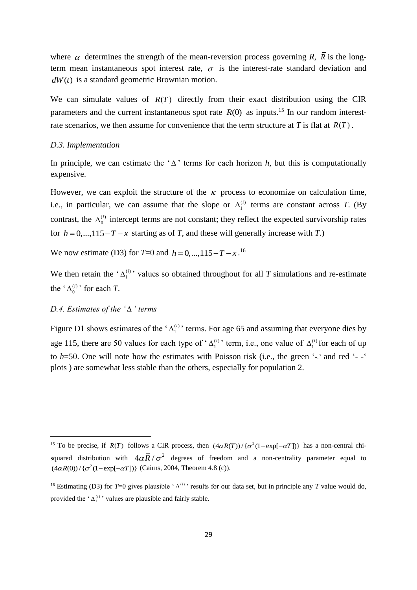where  $\alpha$  determines the strength of the mean-reversion process governing *R*, *R* is the longterm mean instantaneous spot interest rate,  $\sigma$  is the interest-rate standard deviation and *dW*(*t*) is a standard geometric Brownian motion.

We can simulate values of  $R(T)$  directly from their exact distribution using the CIR parameters and the current instantaneous spot rate  $R(0)$  as inputs.<sup>15</sup> In our random interestrate scenarios, we then assume for convenience that the term structure at  $T$  is flat at  $R(T)$ .

#### *D.3. Implementation*

In principle, we can estimate the ' $\Delta$ ' terms for each horizon *h*, but this is computationally expensive.

However, we can exploit the structure of the  $\kappa$  process to economize on calculation time, i.e., in particular, we can assume that the slope or  $\Delta_1^{(i)}$  $\Delta_1^{(i)}$  terms are constant across *T*. (By contrast, the  $\Delta_0^{(i)}$  $\Delta_0^{(i)}$  intercept terms are not constant; they reflect the expected survivorship rates for  $h = 0,...,115 - T - x$  starting as of *T*, and these will generally increase with *T*.)

We now estimate (D3) for  $T=0$  and  $h=0,...,115-T-x$ .<sup>16</sup>

We then retain the ' $\Delta_1^{(i)}$  $\Delta_1^{(i)}$  values so obtained throughout for all *T* simulations and re-estimate the ' $\Delta_0^{(i)}$  $\Delta_0^{(i)}$  for each *T*.

### *D.4. Estimates of the ' ' terms*

1

Figure D1 shows estimates of the ' $\Delta_1^{(i)}$  $\Delta_1^{(i)}$  terms. For age 65 and assuming that everyone dies by age 115, there are 50 values for each type of ' $\Delta_1^{(i)}$  $\Delta_1^{(i)}$  term, i.e., one value of  $\Delta_1^{(i)}$  $\Delta_1^{(i)}$  for each of up to *h*=50. One will note how the estimates with Poisson risk (i.e., the green '-.' and red '- -' plots ) are somewhat less stable than the others, especially for population 2.

<sup>&</sup>lt;sup>15</sup> To be precise, if  $R(T)$  follows a CIR process, then  $(4\alpha R(T))/\{\sigma^2(1-\exp[-\alpha T])\}$  has a non-central chisquared distribution with  $4\alpha \bar{R} / \sigma^2$  degrees of freedom and a non-centrality parameter equal to  $(4\alpha R(0))/\{\sigma^2(1-\exp[-\alpha T])\}$  (Cairns, 2004, Theorem 4.8 (c)).

<sup>&</sup>lt;sup>16</sup> Estimating (D3) for  $T=0$  gives plausible ' $\Delta_1^{(i)}$ ' results for our data set, but in principle any *T* value would do, provided the  $^{\circ} \Delta_1^{(i)}$  values are plausible and fairly stable.